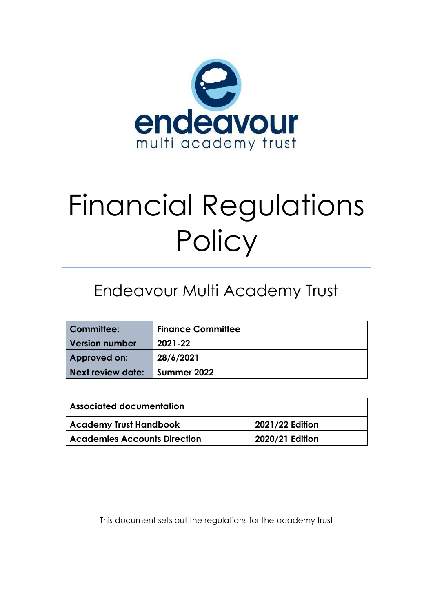

# Financial Regulations **Policy**

## Endeavour Multi Academy Trust

| <b>Committee:</b> | <b>Finance Committee</b> |
|-------------------|--------------------------|
| Version number    | 2021-22                  |
| Approved on:      | 28/6/2021                |
| Next review date: | Summer 2022              |

| <b>Associated documentation</b>     |                 |  |
|-------------------------------------|-----------------|--|
| <b>Academy Trust Handbook</b>       | 2021/22 Edition |  |
| <b>Academies Accounts Direction</b> | 2020/21 Edition |  |

This document sets out the regulations for the academy trust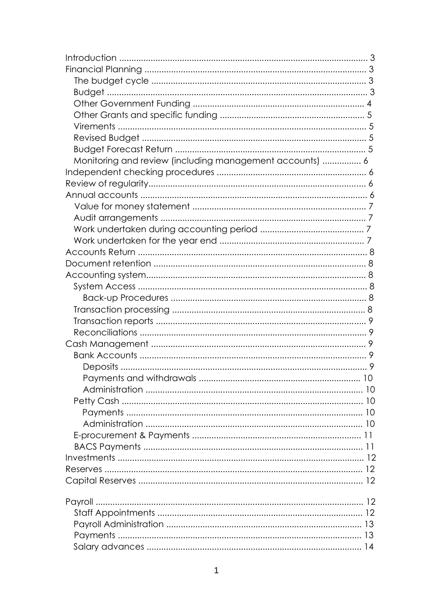| Monitoring and review (including management accounts)  6 |  |
|----------------------------------------------------------|--|
|                                                          |  |
|                                                          |  |
|                                                          |  |
|                                                          |  |
|                                                          |  |
|                                                          |  |
|                                                          |  |
|                                                          |  |
|                                                          |  |
|                                                          |  |
|                                                          |  |
|                                                          |  |
|                                                          |  |
|                                                          |  |
|                                                          |  |
|                                                          |  |
|                                                          |  |
|                                                          |  |
|                                                          |  |
|                                                          |  |
|                                                          |  |
|                                                          |  |
|                                                          |  |
|                                                          |  |
|                                                          |  |
|                                                          |  |
|                                                          |  |
|                                                          |  |
|                                                          |  |
|                                                          |  |
|                                                          |  |
|                                                          |  |
|                                                          |  |
|                                                          |  |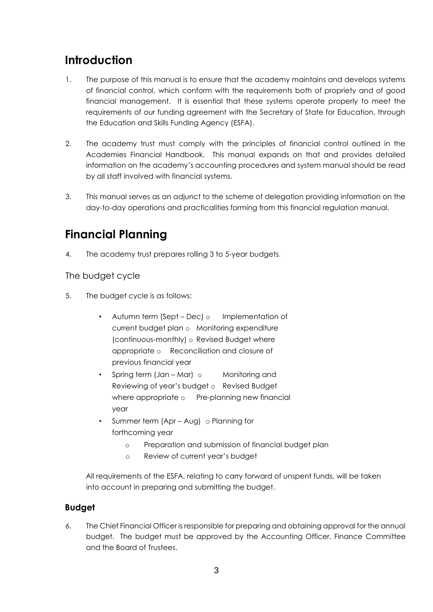## **Introduction**

- 1. The purpose of this manual is to ensure that the academy maintains and develops systems of financial control, which conform with the requirements both of propriety and of good financial management. It is essential that these systems operate properly to meet the requirements of our funding agreement with the Secretary of State for Education, through the Education and Skills Funding Agency (ESFA).
- 2. The academy trust must comply with the principles of financial control outlined in the Academies Financial Handbook. This manual expands on that and provides detailed information on the academy's accounting procedures and system manual should be read by all staff involved with financial systems.
- 3. This manual serves as an adjunct to the scheme of delegation providing information on the day-to-day operations and practicalities forming from this financial regulation manual.

## **Financial Planning**

4. The academy trust prepares rolling 3 to 5-year budgets.

The budget cycle

- 5. The budget cycle is as follows:
	- Autumn term (Sept Dec) o Implementation of current budget plan o Monitoring expenditure (continuous-monthly) o Revised Budget where appropriate o Reconciliation and closure of previous financial year
	- Spring term (Jan Mar) o Monitoring and Reviewing of year's budget o Revised Budget where appropriate o Pre-planning new financial year
	- Summer term (Apr Aug) o Planning for forthcoming year
		- o Preparation and submission of financial budget plan
		- o Review of current year's budget

All requirements of the ESFA, relating to carry forward of unspent funds, will be taken into account in preparing and submitting the budget.

#### **Budget**

6. The Chief Financial Officer is responsible for preparing and obtaining approval for the annual budget. The budget must be approved by the Accounting Officer, Finance Committee and the Board of Trustees.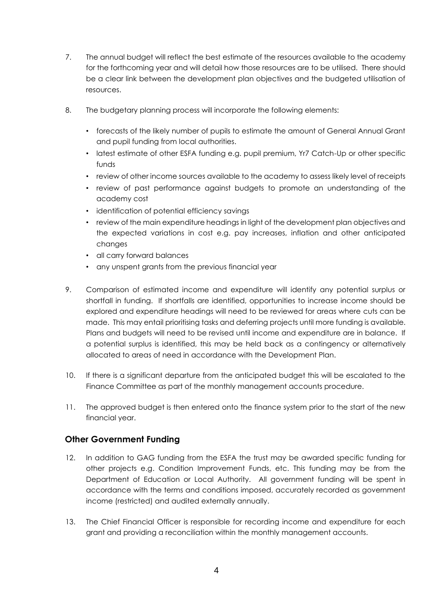- 7. The annual budget will reflect the best estimate of the resources available to the academy for the forthcoming year and will detail how those resources are to be utilised. There should be a clear link between the development plan objectives and the budgeted utilisation of resources.
- 8. The budgetary planning process will incorporate the following elements:
	- forecasts of the likely number of pupils to estimate the amount of General Annual Grant and pupil funding from local authorities.
	- latest estimate of other ESFA funding e.g. pupil premium, Yr7 Catch-Up or other specific funds
	- review of other income sources available to the academy to assess likely level of receipts
	- review of past performance against budgets to promote an understanding of the academy cost
	- identification of potential efficiency savings
	- review of the main expenditure headings in light of the development plan objectives and the expected variations in cost e.g. pay increases, inflation and other anticipated changes
	- all carry forward balances
	- any unspent grants from the previous financial year
- 9. Comparison of estimated income and expenditure will identify any potential surplus or shortfall in funding. If shortfalls are identified, opportunities to increase income should be explored and expenditure headings will need to be reviewed for areas where cuts can be made. This may entail prioritising tasks and deferring projects until more funding is available. Plans and budgets will need to be revised until income and expenditure are in balance. If a potential surplus is identified, this may be held back as a contingency or alternatively allocated to areas of need in accordance with the Development Plan.
- 10. If there is a significant departure from the anticipated budget this will be escalated to the Finance Committee as part of the monthly management accounts procedure.
- 11. The approved budget is then entered onto the finance system prior to the start of the new financial year.

#### **Other Government Funding**

- 12. In addition to GAG funding from the ESFA the trust may be awarded specific funding for other projects e.g. Condition Improvement Funds, etc. This funding may be from the Department of Education or Local Authority. All government funding will be spent in accordance with the terms and conditions imposed, accurately recorded as government income (restricted) and audited externally annually.
- 13. The Chief Financial Officer is responsible for recording income and expenditure for each grant and providing a reconciliation within the monthly management accounts.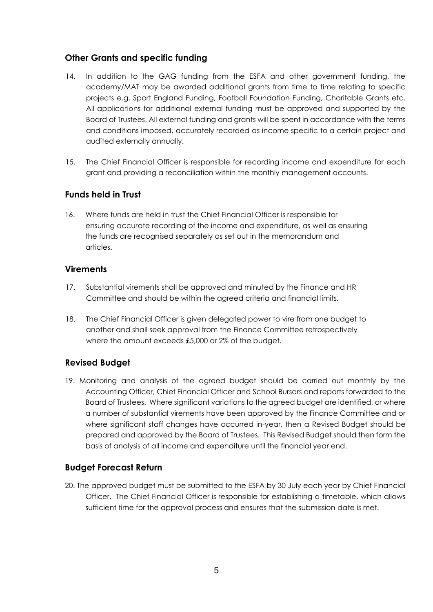#### **Other Grants and specific funding**

- 14. In addition to the GAG funding from the ESFA and other government funding, the academy/MAT may be awarded additional grants from time to time relating to specific projects e.g. Sport England Funding, Football Foundation Funding, Charitable Grants etc. All applications for additional external funding must be approved and supported by the Board of Trustees. All external funding and grants will be spent in accordance with the terms and conditions imposed, accurately recorded as income specific to a certain project and audited externally annually.
- 15. The Chief Financial Officer is responsible for recording income and expenditure for each grant and providing a reconciliation within the monthly management accounts.

#### **Funds held in Trust**

16. Where funds are held in trust the Chief Financial Officer is responsible for ensuring accurate recording of the income and expenditure, as well as ensuring the funds are recognised separately as set out in the memorandum and articles.

#### **Virements**

- 17. Substantial virements shall be approved and minuted by the Finance and HR Committee and should be within the agreed criteria and financial limits.
- 18. The Chief Financial Officer is given delegated power to vire from one budget to another and shall seek approval from the Finance Committee retrospectively where the amount exceeds £5,000 or 2% of the budget.

#### **Revised Budget**

19. Monitoring and analysis of the agreed budget should be carried out monthly by the Accounting Officer, Chief Financial Officer and School Bursars and reports forwarded to the Board of Trustees. Where significant variations to the agreed budget are identified, or where a number of substantial virements have been approved by the Finance Committee and or where significant staff changes have occurred in-year, then a Revised Budget should be prepared and approved by the Board of Trustees. This Revised Budget should then form the basis of analysis of all income and expenditure until the financial year end.

#### **Budget Forecast Return**

20. The approved budget must be submitted to the ESFA by 30 July each year by Chief Financial Officer. The Chief Financial Officer is responsible for establishing a timetable, which allows sufficient time for the approval process and ensures that the submission date is met.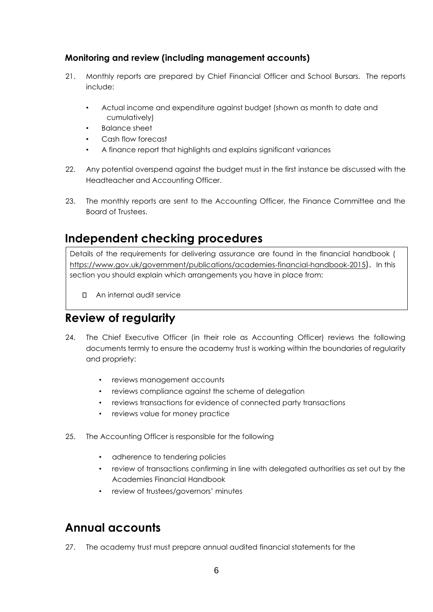#### **Monitoring and review (including management accounts)**

- 21. Monthly reports are prepared by Chief Financial Officer and School Bursars. The reports include:
	- Actual income and expenditure against budget (shown as month to date and cumulatively)
	- Balance sheet
	- Cash flow forecast
	- A finance report that highlights and explains significant variances
- 22. Any potential overspend against the budget must in the first instance be discussed with the Headteacher and Accounting Officer.
- 23. The monthly reports are sent to the Accounting Officer, the Finance Committee and the Board of Trustees.

## **Independent checking procedures**

Details of the requirements for delivering assurance are found in the financial handbook ( <https://www.gov.uk/government/publications/academies-financial-handbook-2015>[\).](https://www.gov.uk/government/publications/academies-financial-handbook-2015) In this section you should explain which arrangements you have in place from:

An internal audit service

## **Review of regularity**

- 24. The Chief Executive Officer (in their role as Accounting Officer) reviews the following documents termly to ensure the academy trust is working within the boundaries of regularity and propriety:
	- reviews management accounts
	- reviews compliance against the scheme of delegation
	- reviews transactions for evidence of connected party transactions
	- reviews value for money practice
- 25. The Accounting Officer is responsible for the following
	- adherence to tendering policies
	- review of transactions confirming in line with delegated authorities as set out by the Academies Financial Handbook
	- review of trustees/governors' minutes

## **Annual accounts**

27. The academy trust must prepare annual audited financial statements for the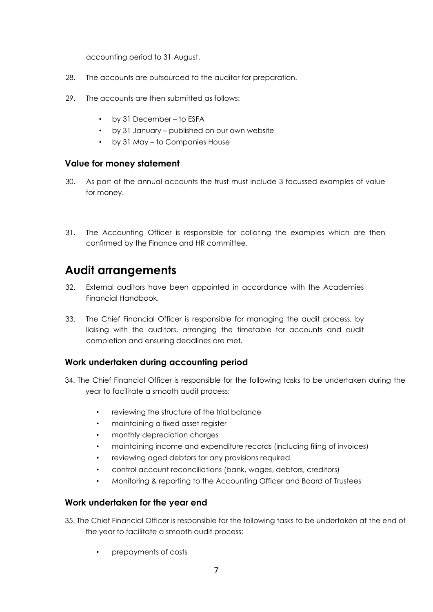accounting period to 31 August.

- 28. The accounts are outsourced to the auditor for preparation.
- 29. The accounts are then submitted as follows:
	- by 31 December to ESFA
	- by 31 January published on our own website
	- by 31 May to Companies House

#### **Value for money statement**

- 30. As part of the annual accounts the trust must include 3 focussed examples of value for money.
- 31. The Accounting Officer is responsible for collating the examples which are then confirmed by the Finance and HR committee.

## **Audit arrangements**

- 32. External auditors have been appointed in accordance with the Academies Financial Handbook.
- 33. The Chief Financial Officer is responsible for managing the audit process, by liaising with the auditors, arranging the timetable for accounts and audit completion and ensuring deadlines are met.

#### **Work undertaken during accounting period**

- 34. The Chief Financial Officer is responsible for the following tasks to be undertaken during the year to facilitate a smooth audit process:
	- reviewing the structure of the trial balance
	- maintaining a fixed asset register
	- monthly depreciation charges
	- maintaining income and expenditure records (including filing of invoices)
	- reviewing aged debtors for any provisions required
	- control account reconciliations (bank, wages, debtors, creditors)
	- Monitoring & reporting to the Accounting Officer and Board of Trustees

#### **Work undertaken for the year end**

- 35. The Chief Financial Officer is responsible for the following tasks to be undertaken at the end of the year to facilitate a smooth audit process:
	- prepayments of costs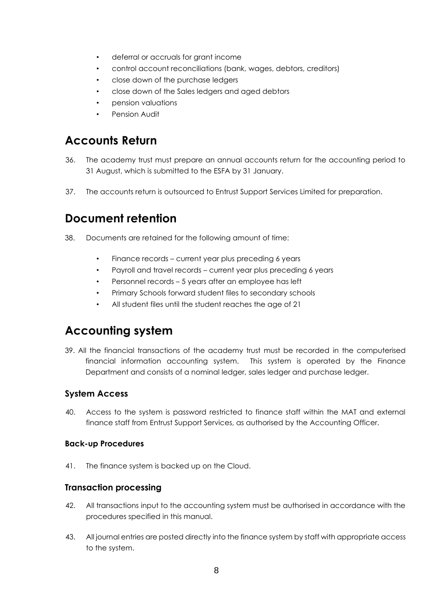- deferral or accruals for grant income
- control account reconciliations (bank, wages, debtors, creditors)
- close down of the purchase ledgers
- close down of the Sales ledgers and aged debtors
- pension valuations
- Pension Audit

## **Accounts Return**

- 36. The academy trust must prepare an annual accounts return for the accounting period to 31 August, which is submitted to the ESFA by 31 January.
- 37. The accounts return is outsourced to Entrust Support Services Limited for preparation.

## **Document retention**

- 38. Documents are retained for the following amount of time:
	- Finance records current year plus preceding 6 years
	- Payroll and travel records current year plus preceding 6 years
	- Personnel records 5 years after an employee has left
	- Primary Schools forward student files to secondary schools
	- All student files until the student reaches the age of 21

## **Accounting system**

39. All the financial transactions of the academy trust must be recorded in the computerised financial information accounting system. This system is operated by the Finance Department and consists of a nominal ledger, sales ledger and purchase ledger.

#### **System Access**

40. Access to the system is password restricted to finance staff within the MAT and external finance staff from Entrust Support Services, as authorised by the Accounting Officer.

#### **Back-up Procedures**

41. The finance system is backed up on the Cloud.

#### **Transaction processing**

- 42. All transactions input to the accounting system must be authorised in accordance with the procedures specified in this manual.
- 43. All journal entries are posted directly into the finance system by staff with appropriate access to the system.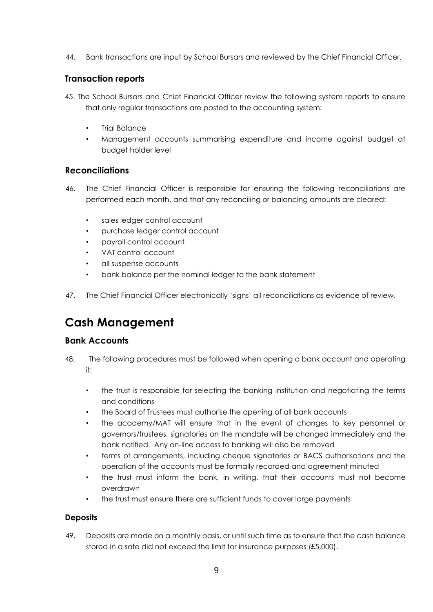44. Bank transactions are input by School Bursars and reviewed by the Chief Financial Officer.

#### **Transaction reports**

- 45. The School Bursars and Chief Financial Officer review the following system reports to ensure that only regular transactions are posted to the accounting system:
	- Trial Balance
	- Management accounts summarising expenditure and income against budget at budget holder level

#### **Reconciliations**

- 46. The Chief Financial Officer is responsible for ensuring the following reconciliations are performed each month, and that any reconciling or balancing amounts are cleared:
	- sales ledger control account
	- purchase ledger control account
	- payroll control account
	- VAT control account
	- all suspense accounts
	- bank balance per the nominal ledger to the bank statement
- 47. The Chief Financial Officer electronically 'signs' all reconciliations as evidence of review.

## **Cash Management**

#### **Bank Accounts**

- 48. The following procedures must be followed when opening a bank account and operating it:
	- the trust is responsible for selecting the banking institution and negotiating the terms and conditions
	- the Board of Trustees must authorise the opening of all bank accounts
	- the academy/MAT will ensure that in the event of changes to key personnel or governors/trustees, signatories on the mandate will be changed immediately and the bank notified. Any on-line access to banking will also be removed
	- terms of arrangements, including cheque signatories or BACS authorisations and the operation of the accounts must be formally recorded and agreement minuted
	- the trust must inform the bank, in writing, that their accounts must not become overdrawn
	- the trust must ensure there are sufficient funds to cover large payments

#### **Deposits**

49. Deposits are made on a monthly basis, or until such time as to ensure that the cash balance stored in a safe did not exceed the limit for insurance purposes (£5,000).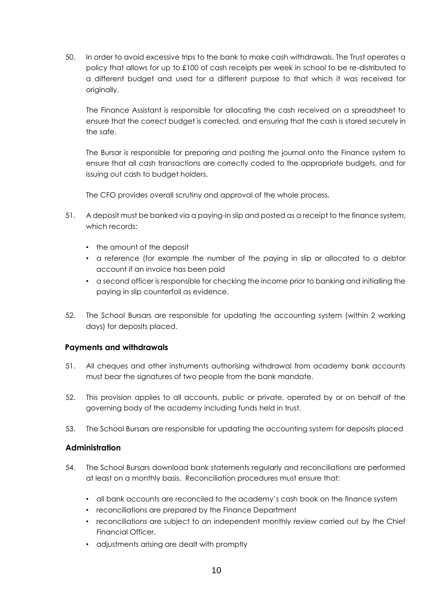50. In order to avoid excessive trips to the bank to make cash withdrawals, The Trust operates a policy that allows for up to £100 of cash receipts per week in school to be re-distributed to a different budget and used for a different purpose to that which it was received for originally.

The Finance Assistant is responsible for allocating the cash received on a spreadsheet to ensure that the correct budget is corrected, and ensuring that the cash is stored securely in the safe.

The Bursar is responsible for preparing and posting the journal onto the Finance system to ensure that all cash transactions are correctly coded to the appropriate budgets, and for issuing out cash to budget holders.

The CFO provides overall scrutiny and approval of the whole process.

- 51. A deposit must be banked via a paying-in slip and posted as a receipt to the finance system, which records:
	- the amount of the deposit
	- a reference (for example the number of the paying in slip or allocated to a debtor account if an invoice has been paid
	- a second officer is responsible for checking the income prior to banking and initialling the paying in slip counterfoil as evidence.
- 52. The School Bursars are responsible for updating the accounting system (within 2 working days) for deposits placed.

#### **Payments and withdrawals**

- 51. All cheques and other instruments authorising withdrawal from academy bank accounts must bear the signatures of two people from the bank mandate.
- 52. This provision applies to all accounts, public or private, operated by or on behalf of the governing body of the academy including funds held in trust.
- 53. The School Bursars are responsible for updating the accounting system for deposits placed

#### **Administration**

- 54. The School Bursars download bank statements regularly and reconciliations are performed at least on a monthly basis. Reconciliation procedures must ensure that:
	- all bank accounts are reconciled to the academy's cash book on the finance system
	- reconciliations are prepared by the Finance Department
	- reconciliations are subject to an independent monthly review carried out by the Chief Financial Officer.
	- adjustments arising are dealt with promptly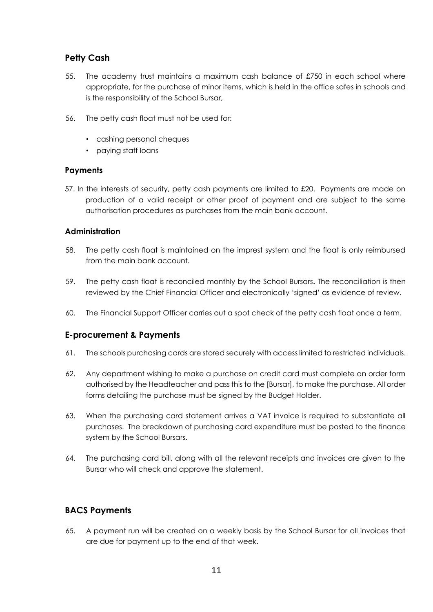#### **Petty Cash**

- 55. The academy trust maintains a maximum cash balance of £750 in each school where appropriate, for the purchase of minor items, which is held in the office safes in schools and is the responsibility of the School Bursar,
- 56. The petty cash float must not be used for:
	- cashing personal cheques
	- paying staff loans

#### **Payments**

57. In the interests of security, petty cash payments are limited to £20. Payments are made on production of a valid receipt or other proof of payment and are subject to the same authorisation procedures as purchases from the main bank account.

#### **Administration**

- 58. The petty cash float is maintained on the imprest system and the float is only reimbursed from the main bank account.
- 59. The petty cash float is reconciled monthly by the School Bursars**.** The reconciliation is then reviewed by the Chief Financial Officer and electronically 'signed' as evidence of review.
- 60. The Financial Support Officer carries out a spot check of the petty cash float once a term.

#### **E-procurement & Payments**

- 61. The schools purchasing cards are stored securely with access limited to restricted individuals.
- 62. Any department wishing to make a purchase on credit card must complete an order form authorised by the Headteacher and pass this to the [Bursar], to make the purchase. All order forms detailing the purchase must be signed by the Budget Holder.
- 63. When the purchasing card statement arrives a VAT invoice is required to substantiate all purchases. The breakdown of purchasing card expenditure must be posted to the finance system by the School Bursars.
- 64. The purchasing card bill, along with all the relevant receipts and invoices are given to the Bursar who will check and approve the statement.

#### **BACS Payments**

65. A payment run will be created on a weekly basis by the School Bursar for all invoices that are due for payment up to the end of that week.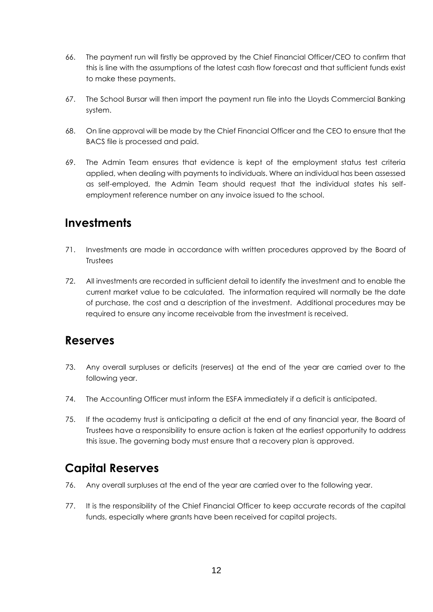- 66. The payment run will firstly be approved by the Chief Financial Officer/CEO to confirm that this is line with the assumptions of the latest cash flow forecast and that sufficient funds exist to make these payments.
- 67. The School Bursar will then import the payment run file into the Lloyds Commercial Banking system.
- 68. On line approval will be made by the Chief Financial Officer and the CEO to ensure that the BACS file is processed and paid.
- 69. The Admin Team ensures that evidence is kept of the employment status test criteria applied, when dealing with payments to individuals. Where an individual has been assessed as self-employed, the Admin Team should request that the individual states his selfemployment reference number on any invoice issued to the school.

## **Investments**

- 71. Investments are made in accordance with written procedures approved by the Board of **Trustees**
- 72. All investments are recorded in sufficient detail to identify the investment and to enable the current market value to be calculated. The information required will normally be the date of purchase, the cost and a description of the investment. Additional procedures may be required to ensure any income receivable from the investment is received.

### **Reserves**

- 73. Any overall surpluses or deficits (reserves) at the end of the year are carried over to the following year.
- 74. The Accounting Officer must inform the ESFA immediately if a deficit is anticipated.
- 75. If the academy trust is anticipating a deficit at the end of any financial year, the Board of Trustees have a responsibility to ensure action is taken at the earliest opportunity to address this issue. The governing body must ensure that a recovery plan is approved.

## **Capital Reserves**

- 76. Any overall surpluses at the end of the year are carried over to the following year.
- 77. It is the responsibility of the Chief Financial Officer to keep accurate records of the capital funds, especially where grants have been received for capital projects.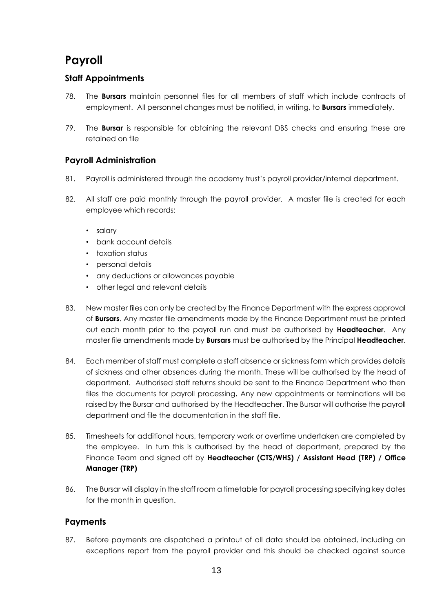## **Payroll**

#### **Staff Appointments**

- 78. The **Bursars** maintain personnel files for all members of staff which include contracts of employment. All personnel changes must be notified, in writing, to **Bursars** immediately.
- 79. The **Bursar** is responsible for obtaining the relevant DBS checks and ensuring these are retained on file

#### **Payroll Administration**

- 81. Payroll is administered through the academy trust's payroll provider/internal department.
- 82. All staff are paid monthly through the payroll provider. A master file is created for each employee which records:
	- salary
	- bank account details
	- taxation status
	- personal details
	- any deductions or allowances payable
	- other legal and relevant details
- 83. New master files can only be created by the Finance Department with the express approval of **Bursars**. Any master file amendments made by the Finance Department must be printed out each month prior to the payroll run and must be authorised by **Headteacher**. Any master file amendments made by **Bursars** must be authorised by the Principal **Headteacher**.
- 84. Each member of staff must complete a staff absence or sickness form which provides details of sickness and other absences during the month. These will be authorised by the head of department. Authorised staff returns should be sent to the Finance Department who then files the documents for payroll processing**.** Any new appointments or terminations will be raised by the Bursar and authorised by the Headteacher. The Bursar will authorise the payroll department and file the documentation in the staff file.
- 85. Timesheets for additional hours, temporary work or overtime undertaken are completed by the employee. In turn this is authorised by the head of department, prepared by the Finance Team and signed off by **Headteacher (CTS/WHS) / Assistant Head (TRP) / Office Manager (TRP)**
- 86. The Bursar will display in the staff room a timetable for payroll processing specifying key dates for the month in question.

#### **Payments**

87. Before payments are dispatched a printout of all data should be obtained, including an exceptions report from the payroll provider and this should be checked against source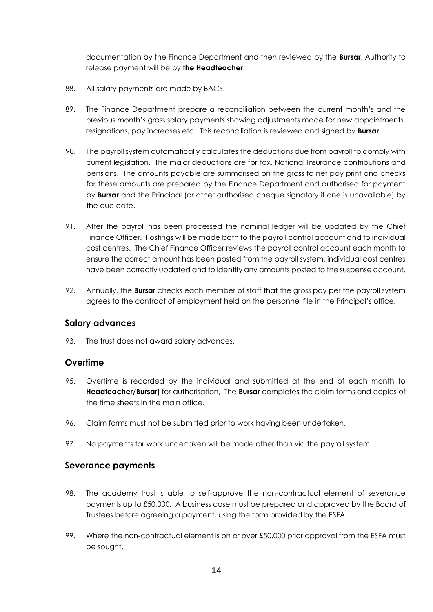documentation by the Finance Department and then reviewed by the **Bursar**. Authority to release payment will be by **the Headteacher**.

- 88. All salary payments are made by BACS.
- 89. The Finance Department prepare a reconciliation between the current month's and the previous month's gross salary payments showing adjustments made for new appointments, resignations, pay increases etc. This reconciliation is reviewed and signed by **Bursar**.
- 90. The payroll system automatically calculates the deductions due from payroll to comply with current legislation. The major deductions are for tax, National Insurance contributions and pensions. The amounts payable are summarised on the gross to net pay print and checks for these amounts are prepared by the Finance Department and authorised for payment by **Bursar** and the Principal (or other authorised cheque signatory if one is unavailable) by the due date.
- 91. After the payroll has been processed the nominal ledger will be updated by the Chief Finance Officer. Postings will be made both to the payroll control account and to individual cost centres. The Chief Finance Officer reviews the payroll control account each month to ensure the correct amount has been posted from the payroll system, individual cost centres have been correctly updated and to identify any amounts posted to the suspense account.
- 92. Annually, the **Bursar** checks each member of staff that the gross pay per the payroll system agrees to the contract of employment held on the personnel file in the Principal's office.

#### **Salary advances**

93. The trust does not award salary advances.

#### **Overtime**

- 95. Overtime is recorded by the individual and submitted at the end of each month to **Headteacher/Bursar]** for authorisation, The **Bursar** completes the claim forms and copies of the time sheets in the main office.
- 96. Claim forms must not be submitted prior to work having been undertaken.
- 97. No payments for work undertaken will be made other than via the payroll system.

#### **Severance payments**

- 98. The academy trust is able to self-approve the non-contractual element of severance payments up to £50,000. A business case must be prepared and approved by the Board of Trustees before agreeing a payment, using the form provided by the ESFA.
- 99. Where the non-contractual element is on or over £50,000 prior approval from the ESFA must be sought.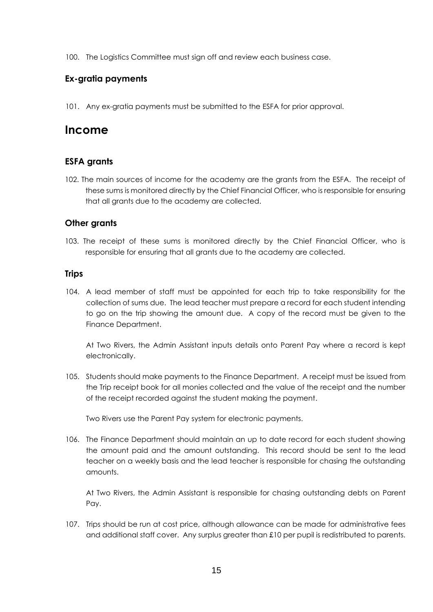100. The Logistics Committee must sign off and review each business case.

#### **Ex-gratia payments**

101. Any ex-gratia payments must be submitted to the ESFA for prior approval.

#### **Income**

#### **ESFA grants**

102. The main sources of income for the academy are the grants from the ESFA. The receipt of these sums is monitored directly by the Chief Financial Officer, who is responsible for ensuring that all grants due to the academy are collected.

#### **Other grants**

103. The receipt of these sums is monitored directly by the Chief Financial Officer, who is responsible for ensuring that all grants due to the academy are collected.

#### **Trips**

104. A lead member of staff must be appointed for each trip to take responsibility for the collection of sums due. The lead teacher must prepare a record for each student intending to go on the trip showing the amount due. A copy of the record must be given to the Finance Department.

At Two Rivers, the Admin Assistant inputs details onto Parent Pay where a record is kept electronically.

105. Students should make payments to the Finance Department. A receipt must be issued from the Trip receipt book for all monies collected and the value of the receipt and the number of the receipt recorded against the student making the payment.

Two Rivers use the Parent Pay system for electronic payments.

106. The Finance Department should maintain an up to date record for each student showing the amount paid and the amount outstanding. This record should be sent to the lead teacher on a weekly basis and the lead teacher is responsible for chasing the outstanding amounts.

At Two Rivers, the Admin Assistant is responsible for chasing outstanding debts on Parent Pay.

107. Trips should be run at cost price, although allowance can be made for administrative fees and additional staff cover. Any surplus greater than £10 per pupil is redistributed to parents.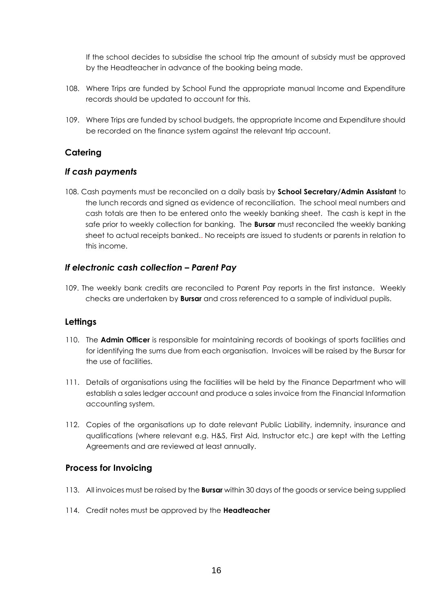If the school decides to subsidise the school trip the amount of subsidy must be approved by the Headteacher in advance of the booking being made.

- 108. Where Trips are funded by School Fund the appropriate manual Income and Expenditure records should be updated to account for this.
- 109. Where Trips are funded by school budgets, the appropriate Income and Expenditure should be recorded on the finance system against the relevant trip account.

#### **Catering**

#### *If cash payments*

108. Cash payments must be reconciled on a daily basis by **School Secretary/Admin Assistant** to the lunch records and signed as evidence of reconciliation. The school meal numbers and cash totals are then to be entered onto the weekly banking sheet. The cash is kept in the safe prior to weekly collection for banking. The **Bursar** must reconciled the weekly banking sheet to actual receipts banked.. No receipts are issued to students or parents in relation to this income.

#### *If electronic cash collection – Parent Pay*

109. The weekly bank credits are reconciled to Parent Pay reports in the first instance. Weekly checks are undertaken by **Bursar** and cross referenced to a sample of individual pupils.

#### **Lettings**

- 110. The **Admin Officer** is responsible for maintaining records of bookings of sports facilities and for identifying the sums due from each organisation. Invoices will be raised by the Bursar for the use of facilities.
- 111. Details of organisations using the facilities will be held by the Finance Department who will establish a sales ledger account and produce a sales invoice from the Financial Information accounting system.
- 112. Copies of the organisations up to date relevant Public Liability, indemnity, insurance and qualifications (where relevant e.g. H&S, First Aid, Instructor etc.) are kept with the Letting Agreements and are reviewed at least annually.

#### **Process for Invoicing**

- 113. All invoices must be raised by the **Bursar** within 30 days of the goods or service being supplied
- 114. Credit notes must be approved by the **Headteacher**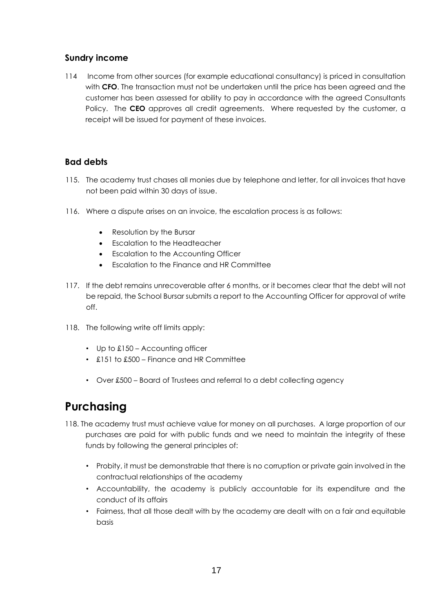#### **Sundry income**

114 Income from other sources (for example educational consultancy) is priced in consultation with **CFO**. The transaction must not be undertaken until the price has been agreed and the customer has been assessed for ability to pay in accordance with the agreed Consultants Policy. The **CEO** approves all credit agreements. Where requested by the customer, a receipt will be issued for payment of these invoices.

#### **Bad debts**

- 115. The academy trust chases all monies due by telephone and letter, for all invoices that have not been paid within 30 days of issue.
- 116. Where a dispute arises on an invoice, the escalation process is as follows:
	- Resolution by the Bursar
	- Escalation to the Headteacher
	- Escalation to the Accounting Officer
	- Escalation to the Finance and HR Committee
- 117. If the debt remains unrecoverable after 6 months, or it becomes clear that the debt will not be repaid, the School Bursar submits a report to the Accounting Officer for approval of write off.
- 118. The following write off limits apply:
	- Up to £150 Accounting officer
	- £151 to £500 Finance and HR Committee
	- Over £500 Board of Trustees and referral to a debt collecting agency

## **Purchasing**

- 118. The academy trust must achieve value for money on all purchases. A large proportion of our purchases are paid for with public funds and we need to maintain the integrity of these funds by following the general principles of:
	- Probity, it must be demonstrable that there is no corruption or private gain involved in the contractual relationships of the academy
	- Accountability, the academy is publicly accountable for its expenditure and the conduct of its affairs
	- Fairness, that all those dealt with by the academy are dealt with on a fair and equitable basis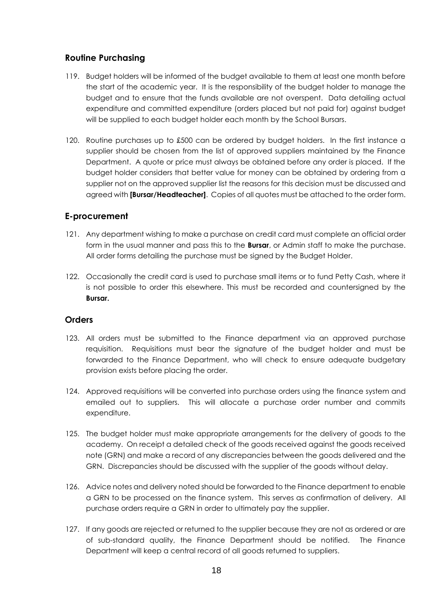#### **Routine Purchasing**

- 119. Budget holders will be informed of the budget available to them at least one month before the start of the academic year. It is the responsibility of the budget holder to manage the budget and to ensure that the funds available are not overspent. Data detailing actual expenditure and committed expenditure (orders placed but not paid for) against budget will be supplied to each budget holder each month by the School Bursars.
- 120. Routine purchases up to £500 can be ordered by budget holders. In the first instance a supplier should be chosen from the list of approved suppliers maintained by the Finance Department. A quote or price must always be obtained before any order is placed. If the budget holder considers that better value for money can be obtained by ordering from a supplier not on the approved supplier list the reasons for this decision must be discussed and agreed with **[Bursar/Headteacher]**. Copies of all quotes must be attached to the order form.

#### **E-procurement**

- 121. Any department wishing to make a purchase on credit card must complete an official order form in the usual manner and pass this to the **Bursar**, or Admin staff to make the purchase. All order forms detailing the purchase must be signed by the Budget Holder.
- 122. Occasionally the credit card is used to purchase small items or to fund Petty Cash, where it is not possible to order this elsewhere. This must be recorded and countersigned by the **Bursar.**

#### **Orders**

- 123. All orders must be submitted to the Finance department via an approved purchase requisition. Requisitions must bear the signature of the budget holder and must be forwarded to the Finance Department, who will check to ensure adequate budgetary provision exists before placing the order.
- 124. Approved requisitions will be converted into purchase orders using the finance system and emailed out to suppliers. This will allocate a purchase order number and commits expenditure.
- 125. The budget holder must make appropriate arrangements for the delivery of goods to the academy. On receipt a detailed check of the goods received against the goods received note (GRN) and make a record of any discrepancies between the goods delivered and the GRN. Discrepancies should be discussed with the supplier of the goods without delay.
- 126. Advice notes and delivery noted should be forwarded to the Finance department to enable a GRN to be processed on the finance system. This serves as confirmation of delivery. All purchase orders require a GRN in order to ultimately pay the supplier.
- 127. If any goods are rejected or returned to the supplier because they are not as ordered or are of sub-standard quality, the Finance Department should be notified. The Finance Department will keep a central record of all goods returned to suppliers.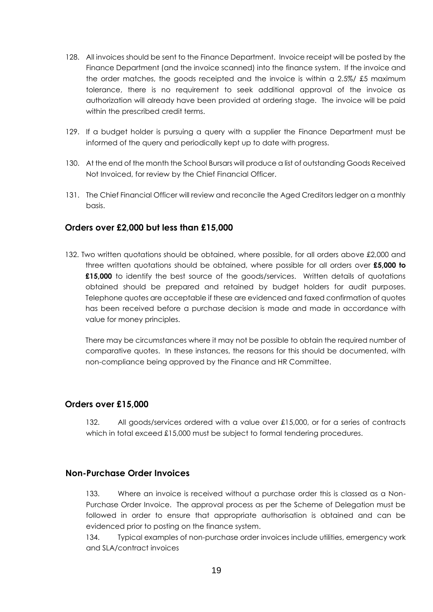- 128. All invoices should be sent to the Finance Department. Invoice receipt will be posted by the Finance Department (and the invoice scanned) into the finance system. If the invoice and the order matches, the goods receipted and the invoice is within a 2.5%/ £5 maximum tolerance, there is no requirement to seek additional approval of the invoice as authorization will already have been provided at ordering stage. The invoice will be paid within the prescribed credit terms.
- 129. If a budget holder is pursuing a query with a supplier the Finance Department must be informed of the query and periodically kept up to date with progress.
- 130. At the end of the month the School Bursars will produce a list of outstanding Goods Received Not Invoiced, for review by the Chief Financial Officer.
- 131. The Chief Financial Officer will review and reconcile the Aged Creditors ledger on a monthly basis.

#### **Orders over £2,000 but less than £15,000**

132. Two written quotations should be obtained, where possible, for all orders above £2,000 and three written quotations should be obtained, where possible for all orders over **£5,000 to £15,000** to identify the best source of the goods/services. Written details of quotations obtained should be prepared and retained by budget holders for audit purposes. Telephone quotes are acceptable if these are evidenced and faxed confirmation of quotes has been received before a purchase decision is made and made in accordance with value for money principles.

There may be circumstances where it may not be possible to obtain the required number of comparative quotes. In these instances, the reasons for this should be documented, with non-compliance being approved by the Finance and HR Committee.

#### **Orders over £15,000**

132. All goods/services ordered with a value over £15,000, or for a series of contracts which in total exceed £15,000 must be subject to formal tendering procedures.

#### **Non-Purchase Order Invoices**

133. Where an invoice is received without a purchase order this is classed as a Non-Purchase Order Invoice. The approval process as per the Scheme of Delegation must be followed in order to ensure that appropriate authorisation is obtained and can be evidenced prior to posting on the finance system.

134. Typical examples of non-purchase order invoices include utilities, emergency work and SLA/contract invoices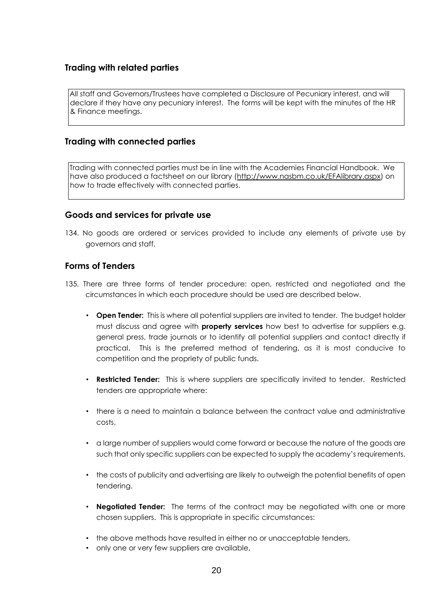#### **Trading with related parties**

All staff and Governors/Trustees have completed a Disclosure of Pecuniary interest, and will declare if they have any pecuniary interest. The forms will be kept with the minutes of the HR & Finance meetings.

#### **Trading with connected parties**

Trading with connected parties must be in line with the Academies Financial Handbook. We have also produced a factsheet on our library [\(http://www.nasbm.co.uk/EFAlibrary.aspx\)](http://www.nasbm.co.uk/EFAlibrary.aspx) on how to trade effectively with connected parties.

#### **Goods and services for private use**

134. No goods are ordered or services provided to include any elements of private use by governors and staff.

#### **Forms of Tenders**

- 135. There are three forms of tender procedure: open, restricted and negotiated and the circumstances in which each procedure should be used are described below.
	- **Open Tender:** This is where all potential suppliers are invited to tender. The budget holder must discuss and agree with **property services** how best to advertise for suppliers e.g. general press, trade journals or to identify all potential suppliers and contact directly if practical. This is the preferred method of tendering, as it is most conducive to competition and the propriety of public funds.
	- **Restricted Tender:** This is where suppliers are specifically invited to tender. Restricted tenders are appropriate where:
	- there is a need to maintain a balance between the contract value and administrative costs,
	- a large number of suppliers would come forward or because the nature of the goods are such that only specific suppliers can be expected to supply the academy's requirements,
	- the costs of publicity and advertising are likely to outweigh the potential benefits of open tendering.
	- **Negotiated Tender:** The terms of the contract may be negotiated with one or more chosen suppliers. This is appropriate in specific circumstances:
	- the above methods have resulted in either no or unacceptable tenders,
	- only one or very few suppliers are available,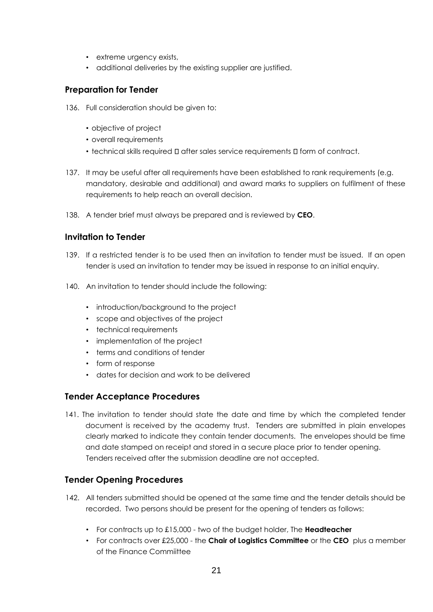- extreme urgency exists,
- additional deliveries by the existing supplier are justified.

#### **Preparation for Tender**

- 136. Full consideration should be given to:
	- objective of project
	- overall requirements
	- $\cdot$  technical skills required  $\square$  after sales service requirements  $\square$  form of contract.
- 137. It may be useful after all requirements have been established to rank requirements (e.g. mandatory, desirable and additional) and award marks to suppliers on fulfilment of these requirements to help reach an overall decision.
- 138. A tender brief must always be prepared and is reviewed by **CEO**.

#### **Invitation to Tender**

- 139. If a restricted tender is to be used then an invitation to tender must be issued. If an open tender is used an invitation to tender may be issued in response to an initial enquiry.
- 140. An invitation to tender should include the following:
	- introduction/background to the project
	- scope and objectives of the project
	- technical requirements
	- implementation of the project
	- terms and conditions of tender
	- form of response
	- dates for decision and work to be delivered

#### **Tender Acceptance Procedures**

141. The invitation to tender should state the date and time by which the completed tender document is received by the academy trust. Tenders are submitted in plain envelopes clearly marked to indicate they contain tender documents. The envelopes should be time and date stamped on receipt and stored in a secure place prior to tender opening. Tenders received after the submission deadline are not accepted.

#### **Tender Opening Procedures**

- 142. All tenders submitted should be opened at the same time and the tender details should be recorded. Two persons should be present for the opening of tenders as follows:
	- For contracts up to £15,000 two of the budget holder, The **Headteacher**
	- For contracts over £25,000 the **Chair of Logistics Committee** or the **CEO** plus a member of the Finance Commiittee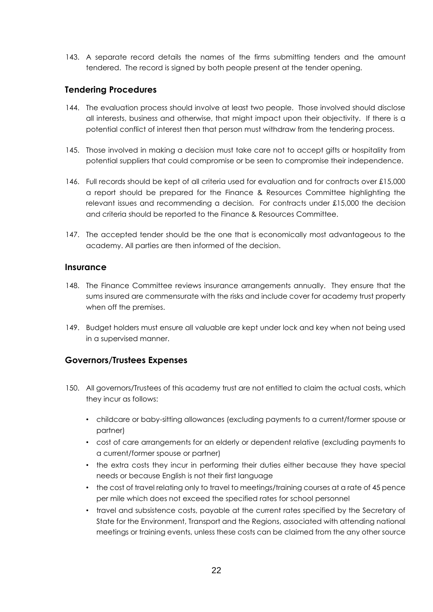143. A separate record details the names of the firms submitting tenders and the amount tendered. The record is signed by both people present at the tender opening.

#### **Tendering Procedures**

- 144. The evaluation process should involve at least two people. Those involved should disclose all interests, business and otherwise, that might impact upon their objectivity. If there is a potential conflict of interest then that person must withdraw from the tendering process.
- 145. Those involved in making a decision must take care not to accept gifts or hospitality from potential suppliers that could compromise or be seen to compromise their independence.
- 146. Full records should be kept of all criteria used for evaluation and for contracts over £15,000 a report should be prepared for the Finance & Resources Committee highlighting the relevant issues and recommending a decision. For contracts under £15,000 the decision and criteria should be reported to the Finance & Resources Committee.
- 147. The accepted tender should be the one that is economically most advantageous to the academy. All parties are then informed of the decision.

#### **Insurance**

- 148. The Finance Committee reviews insurance arrangements annually. They ensure that the sums insured are commensurate with the risks and include cover for academy trust property when off the premises.
- 149. Budget holders must ensure all valuable are kept under lock and key when not being used in a supervised manner.

#### **Governors/Trustees Expenses**

- 150. All governors/Trustees of this academy trust are not entitled to claim the actual costs, which they incur as follows:
	- childcare or baby-sitting allowances (excluding payments to a current/former spouse or partner)
	- cost of care arrangements for an elderly or dependent relative (excluding payments to a current/former spouse or partner)
	- the extra costs they incur in performing their duties either because they have special needs or because English is not their first language
	- the cost of travel relating only to travel to meetings/training courses at a rate of 45 pence per mile which does not exceed the specified rates for school personnel
	- travel and subsistence costs, payable at the current rates specified by the Secretary of State for the Environment, Transport and the Regions, associated with attending national meetings or training events, unless these costs can be claimed from the any other source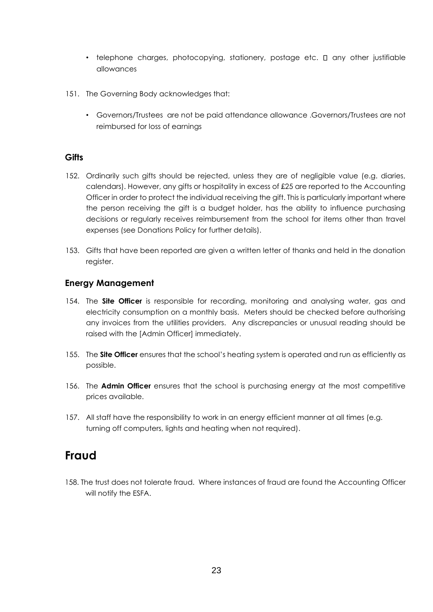- telephone charges, photocopying, stationery, postage etc.  $\square$  any other justifiable allowances
- 151. The Governing Body acknowledges that:
	- Governors/Trustees are not be paid attendance allowance .Governors/Trustees are not reimbursed for loss of earnings

#### **Gifts**

- 152. Ordinarily such gifts should be rejected, unless they are of negligible value (e.g. diaries, calendars). However, any gifts or hospitality in excess of £25 are reported to the Accounting Officer in order to protect the individual receiving the gift. This is particularly important where the person receiving the gift is a budget holder, has the ability to influence purchasing decisions or regularly receives reimbursement from the school for items other than travel expenses (see Donations Policy for further details).
- 153. Gifts that have been reported are given a written letter of thanks and held in the donation register.

#### **Energy Management**

- 154. The **Site Officer** is responsible for recording, monitoring and analysing water, gas and electricity consumption on a monthly basis. Meters should be checked before authorising any invoices from the utilities providers. Any discrepancies or unusual reading should be raised with the [Admin Officer] immediately.
- 155. The **Site Officer** ensures that the school's heating system is operated and run as efficiently as possible.
- 156. The **Admin Officer** ensures that the school is purchasing energy at the most competitive prices available.
- 157. All staff have the responsibility to work in an energy efficient manner at all times (e.g. turning off computers, lights and heating when not required).

## **Fraud**

158. The trust does not tolerate fraud. Where instances of fraud are found the Accounting Officer will notify the ESFA.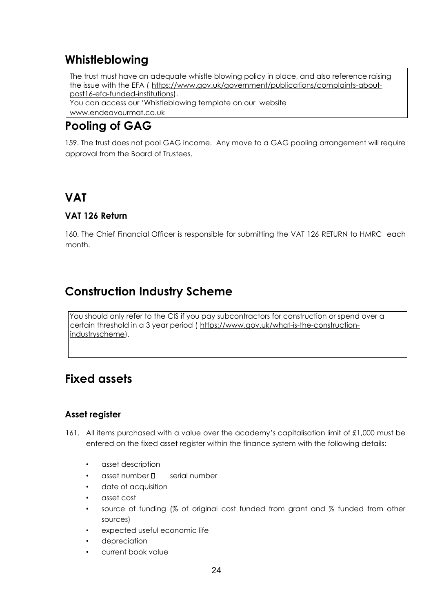## **Whistleblowing**

The trust must have an adequate whistle blowing policy in place, and also reference raising the issue with the EFA ( [https://www.gov.uk/government/publications/complaints-about](https://www.gov.uk/government/publications/complaints-about-post-16-efa-funded-institutions)[post16-efa-funded-institutions\).](https://www.gov.uk/government/publications/complaints-about-post-16-efa-funded-institutions) You can access our 'Whistleblowing template on our website www.endeavourmat.co.uk

## **Pooling of GAG**

159. The trust does not pool GAG income. Any move to a GAG pooling arrangement will require approval from the Board of Trustees.

## **VAT**

#### **VAT 126 Return**

160. The Chief Financial Officer is responsible for submitting the VAT 126 RETURN to HMRC each month.

## **Construction Industry Scheme**

You should only refer to the CIS if you pay subcontractors for construction or spend over a certain threshold in a 3 year period ( [https://www.gov.uk/what-is-the-construction](https://www.gov.uk/what-is-the-construction-industry-scheme)[industryscheme\).](https://www.gov.uk/what-is-the-construction-industry-scheme)

## **Fixed assets**

#### **Asset register**

- 161. All items purchased with a value over the academy's capitalisation limit of £1,000 must be entered on the fixed asset register within the finance system with the following details:
	- asset description
	- $\alpha$ sset number  $\Box$  serial number
	- date of acquisition
	- asset cost
	- source of funding (% of original cost funded from grant and % funded from other sources)
	- expected useful economic life
	- depreciation
	- current book value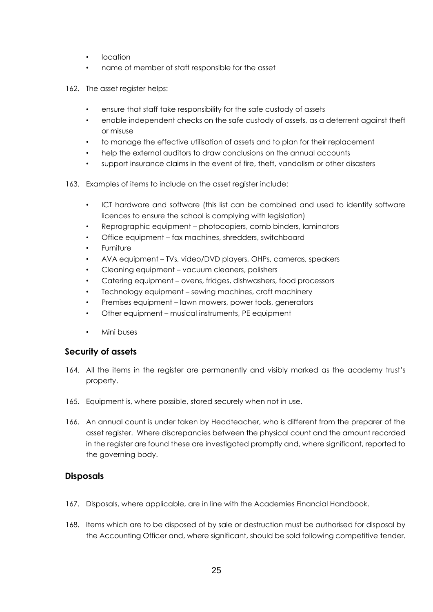- location
- name of member of staff responsible for the asset
- 162. The asset register helps:
	- ensure that staff take responsibility for the safe custody of assets
	- enable independent checks on the safe custody of assets, as a deterrent against theft or misuse
	- to manage the effective utilisation of assets and to plan for their replacement
	- help the external auditors to draw conclusions on the annual accounts
	- support insurance claims in the event of fire, theft, vandalism or other disasters
- 163. Examples of items to include on the asset register include:
	- ICT hardware and software (this list can be combined and used to identify software licences to ensure the school is complying with legislation)
	- Reprographic equipment photocopiers, comb binders, laminators
	- Office equipment fax machines, shredders, switchboard
	- **Furniture**
	- AVA equipment TVs, video/DVD players, OHPs, cameras, speakers
	- Cleaning equipment vacuum cleaners, polishers
	- Catering equipment ovens, fridges, dishwashers, food processors
	- Technology equipment sewing machines, craft machinery
	- Premises equipment lawn mowers, power tools, generators
	- Other equipment musical instruments, PE equipment
	- Mini buses

#### **Security of assets**

- 164. All the items in the register are permanently and visibly marked as the academy trust's property.
- 165. Equipment is, where possible, stored securely when not in use.
- 166. An annual count is under taken by Headteacher, who is different from the preparer of the asset register. Where discrepancies between the physical count and the amount recorded in the register are found these are investigated promptly and, where significant, reported to the governing body.

#### **Disposals**

- 167. Disposals, where applicable, are in line with the Academies Financial Handbook.
- 168. Items which are to be disposed of by sale or destruction must be authorised for disposal by the Accounting Officer and, where significant, should be sold following competitive tender.